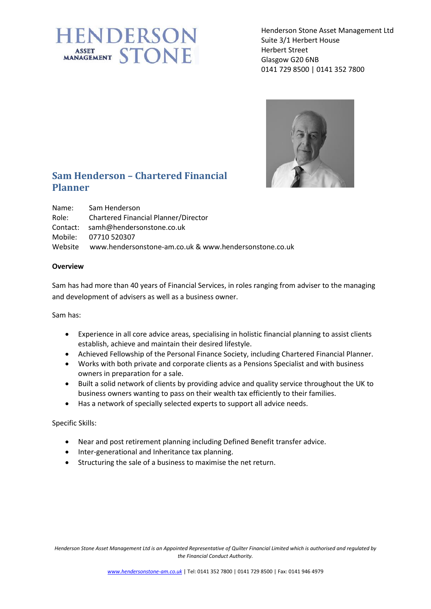## **IENDERSON** ASSET STONE

Henderson Stone Asset Management Ltd Suite 3/1 Herbert House Herbert Street Glasgow G20 6NB 0141 729 8500 | 0141 352 7800



## **Sam Henderson – Chartered Financial Planner**

| Name: | Sam Henderson                                                  |
|-------|----------------------------------------------------------------|
|       | Role: Chartered Financial Planner/Director                     |
|       | Contact: samh@hendersonstone.co.uk                             |
|       | Mobile: 07710 520307                                           |
|       | Website www.hendersonstone-am.co.uk & www.hendersonstone.co.uk |

## **Overview**

Sam has had more than 40 years of Financial Services, in roles ranging from adviser to the managing and development of advisers as well as a business owner.

Sam has:

- Experience in all core advice areas, specialising in holistic financial planning to assist clients establish, achieve and maintain their desired lifestyle.
- Achieved Fellowship of the Personal Finance Society, including Chartered Financial Planner.
- Works with both private and corporate clients as a Pensions Specialist and with business owners in preparation for a sale.
- Built a solid network of clients by providing advice and quality service throughout the UK to business owners wanting to pass on their wealth tax efficiently to their families.
- Has a network of specially selected experts to support all advice needs.

Specific Skills:

- Near and post retirement planning including Defined Benefit transfer advice.
- Inter-generational and Inheritance tax planning.
- Structuring the sale of a business to maximise the net return.